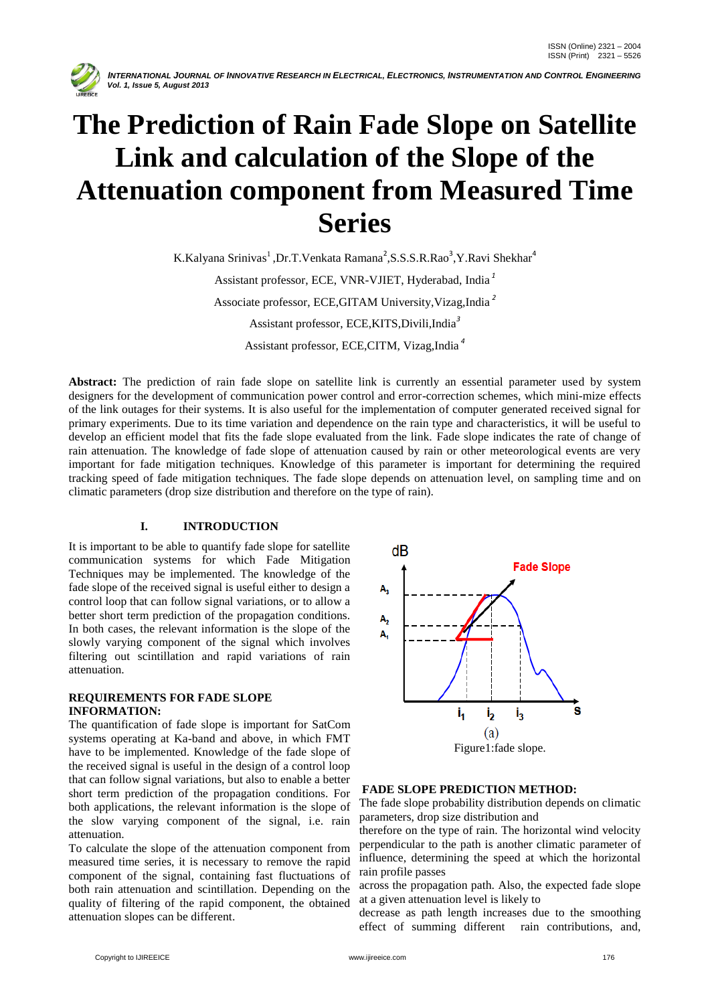

INTERNATIONAL JOURNAL OF INNOVATIVE RESEARCH IN ELECTRICAL, ELECTRONICS, INSTRUMENTATION AND CONTROL ENGINEERING  *Vol. 1, Issue 5, August 2013*

# **The Prediction of Rain Fade Slope on Satellite Link and calculation of the Slope of the Attenuation component from Measured Time Series**

K.Kalyana Srinivas<sup>1</sup>, Dr.T.Venkata Ramana<sup>2</sup>, S.S.S.R.Rao<sup>3</sup>, Y.Ravi Shekhar<sup>4</sup>

Assistant professor, ECE, VNR-VJIET, Hyderabad, India *<sup>1</sup>* Associate professor, ECE,GITAM University,Vizag,India *<sup>2</sup>* Assistant professor, ECE,KITS,Divili,India*<sup>3</sup>*

Assistant professor, ECE,CITM, Vizag,India *<sup>4</sup>*

Abstract: The prediction of rain fade slope on satellite link is currently an essential parameter used by system designers for the development of communication power control and error-correction schemes, which mini-mize effects of the link outages for their systems. It is also useful for the implementation of computer generated received signal for primary experiments. Due to its time variation and dependence on the rain type and characteristics, it will be useful to develop an efficient model that fits the fade slope evaluated from the link. Fade slope indicates the rate of change of rain attenuation. The knowledge of fade slope of attenuation caused by rain or other meteorological events are very important for fade mitigation techniques. Knowledge of this parameter is important for determining the required tracking speed of fade mitigation techniques. The fade slope depends on attenuation level, on sampling time and on climatic parameters (drop size distribution and therefore on the type of rain).

## **I. INTRODUCTION**

It is important to be able to quantify fade slope for satellite communication systems for which Fade Mitigation Techniques may be implemented. The knowledge of the fade slope of the received signal is useful either to design a control loop that can follow signal variations, or to allow a better short term prediction of the propagation conditions. In both cases, the relevant information is the slope of the slowly varying component of the signal which involves filtering out scintillation and rapid variations of rain attenuation.

### **REQUIREMENTS FOR FADE SLOPE INFORMATION:**

The quantification of fade slope is important for SatCom systems operating at Ka-band and above, in which FMT have to be implemented. Knowledge of the fade slope of the received signal is useful in the design of a control loop that can follow signal variations, but also to enable a better short term prediction of the propagation conditions. For both applications, the relevant information is the slope of the slow varying component of the signal, i.e. rain attenuation.

To calculate the slope of the attenuation component from measured time series, it is necessary to remove the rapid component of the signal, containing fast fluctuations of both rain attenuation and scintillation. Depending on the quality of filtering of the rapid component, the obtained attenuation slopes can be different.



### **FADE SLOPE PREDICTION METHOD:**

The fade slope probability distribution depends on climatic parameters, drop size distribution and

therefore on the type of rain. The horizontal wind velocity perpendicular to the path is another climatic parameter of influence, determining the speed at which the horizontal rain profile passes

across the propagation path. Also, the expected fade slope at a given attenuation level is likely to

decrease as path length increases due to the smoothing effect of summing different rain contributions, and,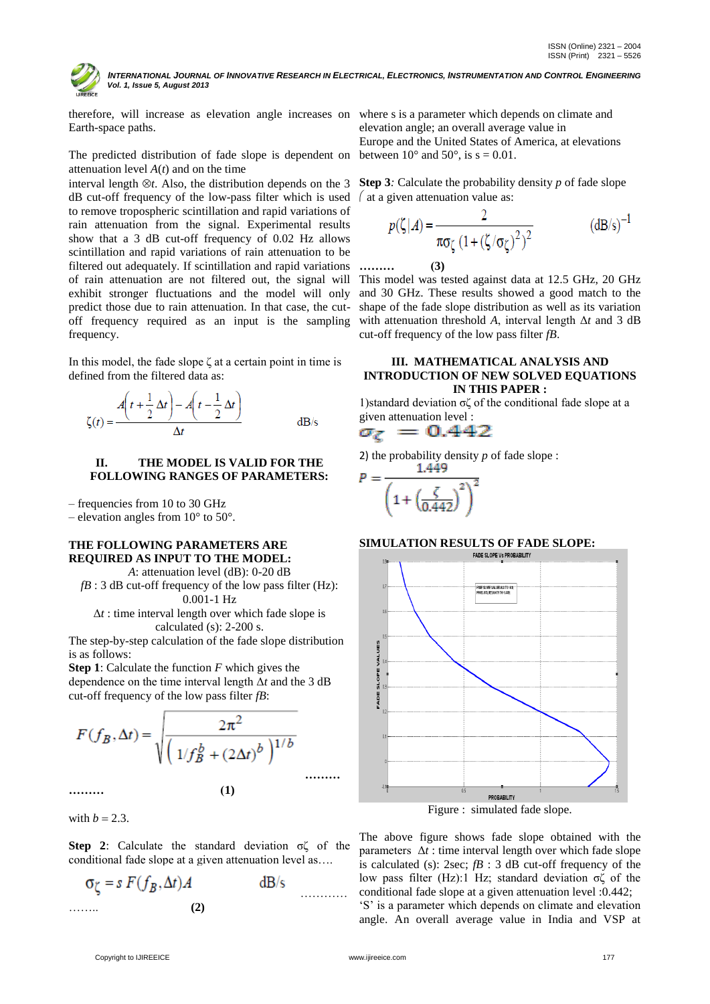INTERNATIONAL JOURNAL OF INNOVATIVE RESEARCH IN ELECTRICAL, ELECTRONICS, INSTRUMENTATION AND CONTROL ENGINEERING  *Vol. 1, Issue 5, August 2013*

therefore, will increase as elevation angle increases on where s is a parameter which depends on climate and Earth-space paths.

The predicted distribution of fade slope is dependent on between 10 $^{\circ}$  and 50 $^{\circ}$ , is s = 0.01. attenuation level *A*(*t*) and on the time

interval length  $\otimes t$ . Also, the distribution depends on the 3 **Step 3***:* Calculate the probability density p of fade slope dB cut-off frequency of the low-pass filter which is used  $\int$  at a given attenuation value as: to remove tropospheric scintillation and rapid variations of rain attenuation from the signal. Experimental results show that a 3 dB cut-off frequency of 0.02 Hz allows scintillation and rapid variations of rain attenuation to be filtered out adequately. If scintillation and rapid variations of rain attenuation are not filtered out, the signal will exhibit stronger fluctuations and the model will only predict those due to rain attenuation. In that case, the cutoff frequency required as an input is the sampling frequency.

In this model, the fade slope ζ at a certain point in time is defined from the filtered data as:

$$
\zeta(t) = \frac{A\left(t + \frac{1}{2}\Delta t\right) - A\left(t - \frac{1}{2}\Delta t\right)}{\Delta t} \quad \text{dB/s}
$$

#### **II. THE MODEL IS VALID FOR THE FOLLOWING RANGES OF PARAMETERS:**

– frequencies from 10 to 30 GHz

– elevation angles from  $10^{\circ}$  to  $50^{\circ}$ .

#### **THE FOLLOWING PARAMETERS ARE REQUIRED AS INPUT TO THE MODEL:**

*A*: attenuation level (dB): 0-20 dB *fB* : 3 dB cut-off frequency of the low pass filter (Hz): 0.001-1 Hz Δ*t* : time interval length over which fade slope is

calculated (s): 2-200 s.

The step-by-step calculation of the fade slope distribution is as follows:

**Step 1**: Calculate the function *F* which gives the dependence on the time interval length Δ*t* and the 3 dB cut-off frequency of the low pass filter *fB*:

$$
F(f_B, \Delta t) = \sqrt{\frac{2\pi^2}{\left(1/f_B^b + (2\Delta t)^b\right)^{1/b}}}
$$
........(1)

with  $b = 2.3$ .

**Step 2**: Calculate the standard deviation σζ of the conditional fade slope at a given attenuation level as….

………… …….. **(2)**

elevation angle; an overall average value in Europe and the United States of America, at elevations

$$
p(\zeta|A) = \frac{2}{\pi \sigma_{\zeta} (1 + (\zeta/\sigma_{\zeta})^2)^2}
$$
 (dB/s)<sup>-1</sup>

**……… (3)**

This model was tested against data at 12.5 GHz, 20 GHz and 30 GHz. These results showed a good match to the shape of the fade slope distribution as well as its variation with attenuation threshold *A*, interval length Δ*t* and 3 dB cut-off frequency of the low pass filter *fB*.

#### **III. MATHEMATICAL ANALYSIS AND INTRODUCTION OF NEW SOLVED EQUATIONS IN THIS PAPER :**

1)standard deviation σζ of the conditional fade slope at a given attenuation level :

$$
\sigma_{\zeta}~=~0.442
$$

2) the probability density  $p$  of fade slope :

$$
P = \frac{1.449}{\left(1 + \left(\frac{\zeta}{0.442}\right)^2\right)^2}
$$

# **SIMULATION RESULTS OF FADE SLOPE:**



Figure : simulated fade slope.

The above figure shows fade slope obtained with the parameters  $\Delta t$  : time interval length over which fade slope is calculated (s): 2sec; *fB* : 3 dB cut-off frequency of the low pass filter (Hz):1 Hz; standard deviation  $\sigma\zeta$  of the conditional fade slope at a given attenuation level :0.442;

'S' is a parameter which depends on climate and elevation angle. An overall average value in India and VSP at

**………**